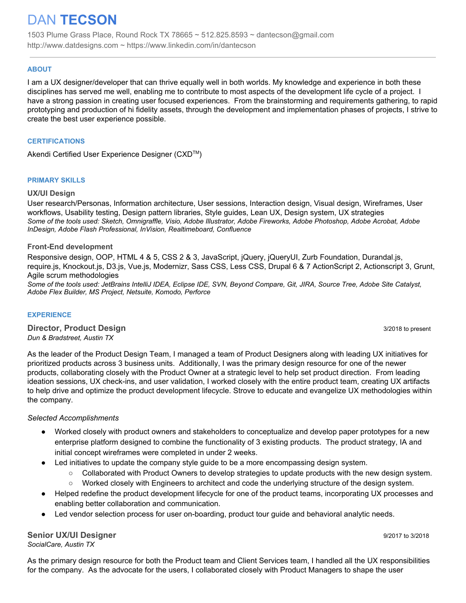# DAN **TECSON**

1503 Plume Grass Place, Round Rock TX 78665 ~ 512.825.8593 ~ dantecson@gmail.com http://www.datdesigns.com ~ https://www.linkedin.com/in/dantecson

#### **ABOUT**

I am a UX designer/developer that can thrive equally well in both worlds. My knowledge and experience in both these disciplines has served me well, enabling me to contribute to most aspects of the development life cycle of a project. I have a strong passion in creating user focused experiences. From the brainstorming and requirements gathering, to rapid prototyping and production of hi fidelity assets, through the development and implementation phases of projects, I strive to create the best user experience possible.

#### **CERTIFICATIONS**

Akendi Certified User Experience Designer (CXD™)

#### **PRIMARY SKILLS**

#### **UX/UI Design**

User research/Personas, Information architecture, User sessions, Interaction design, Visual design, Wireframes, User workflows, Usability testing, Design pattern libraries, Style guides, Lean UX, Design system, UX strategies *Some of the tools used: Sketch, Omnigraffle, Visio, Adobe Illustrator, Adobe Fireworks, Adobe Photoshop, Adobe Acrobat, Adobe InDesign, Adobe Flash Professional, InVision, Realtimeboard, Confluence*

#### **Front-End development**

Responsive design, OOP, HTML 4 & 5, CSS 2 & 3, JavaScript, jQuery, jQueryUI, Zurb Foundation, Durandal.js, require.js, Knockout.js, D3.js, Vue.js, Modernizr, Sass CSS, Less CSS, Drupal 6 & 7 ActionScript 2, Actionscript 3, Grunt, Agile scrum methodologies

*Some of the tools used: JetBrains IntelliJ IDEA, Eclipse IDE, SVN, Beyond Compare, Git, JIRA, Source Tree, Adobe Site Catalyst, Adobe Flex Builder, MS Project, Netsuite, Komodo, Perforce*

#### **EXPERIENCE**

**Director, Product Design** 3/2018 to present *Dun & Bradstreet, Austin TX*

As the leader of the Product Design Team, I managed a team of Product Designers along with leading UX initiatives for prioritized products across 3 business units. Additionally, I was the primary design resource for one of the newer products, collaborating closely with the Product Owner at a strategic level to help set product direction. From leading ideation sessions, UX check-ins, and user validation, I worked closely with the entire product team, creating UX artifacts to help drive and optimize the product development lifecycle. Strove to educate and evangelize UX methodologies within the company.

#### *Selected Accomplishments*

- Worked closely with product owners and stakeholders to conceptualize and develop paper prototypes for a new enterprise platform designed to combine the functionality of 3 existing products. The product strategy, IA and initial concept wireframes were completed in under 2 weeks.
- Led initiatives to update the company style guide to be a more encompassing design system.
	- Collaborated with Product Owners to develop strategies to update products with the new design system.
	- Worked closely with Engineers to architect and code the underlying structure of the design system.
- Helped redefine the product development lifecycle for one of the product teams, incorporating UX processes and enabling better collaboration and communication.
- Led vendor selection process for user on-boarding, product tour guide and behavioral analytic needs.

**Senior UX/UI Designer** 9/2017 to 3/2018 *SocialCare, Austin TX*

As the primary design resource for both the Product team and Client Services team, I handled all the UX responsibilities for the company. As the advocate for the users, I collaborated closely with Product Managers to shape the user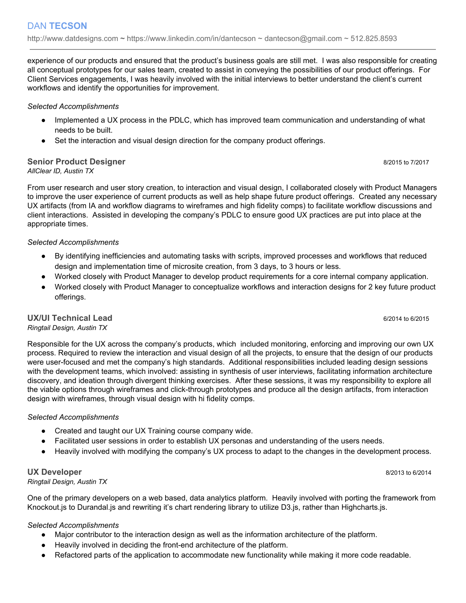experience of our products and ensured that the product's business goals are still met. I was also responsible for creating all conceptual prototypes for our sales team, created to assist in conveying the possibilities of our product offerings. For Client Services engagements, I was heavily involved with the initial interviews to better understand the client's current workflows and identify the opportunities for improvement.

## *Selected Accomplishments*

- Implemented a UX process in the PDLC, which has improved team communication and understanding of what needs to be built.
- Set the interaction and visual design direction for the company product offerings.

## **Senior Product Designer** 8/2015 to 7/2017 *AllClear ID, Austin TX*

From user research and user story creation, to interaction and visual design, I collaborated closely with Product Managers to improve the user experience of current products as well as help shape future product offerings. Created any necessary UX artifacts (from IA and workflow diagrams to wireframes and high fidelity comps) to facilitate workflow discussions and client interactions. Assisted in developing the company's PDLC to ensure good UX practices are put into place at the appropriate times.

## *Selected Accomplishments*

- By identifying inefficiencies and automating tasks with scripts, improved processes and workflows that reduced design and implementation time of microsite creation, from 3 days, to 3 hours or less.
- Worked closely with Product Manager to develop product requirements for a core internal company application.
- Worked closely with Product Manager to conceptualize workflows and interaction designs for 2 key future product offerings.

# **UX/UI Technical Lead** 6/2014 to 6/2015

*Ringtail Design, Austin TX*

Responsible for the UX across the company's products, which included monitoring, enforcing and improving our own UX process. Required to review the interaction and visual design of all the projects, to ensure that the design of our products were user-focused and met the company's high standards. Additional responsibilities included leading design sessions with the development teams, which involved: assisting in synthesis of user interviews, facilitating information architecture discovery, and ideation through divergent thinking exercises. After these sessions, it was my responsibility to explore all the viable options through wireframes and click-through prototypes and produce all the design artifacts, from interaction design with wireframes, through visual design with hi fidelity comps.

## *Selected Accomplishments*

- Created and taught our UX Training course company wide.
- Facilitated user sessions in order to establish UX personas and understanding of the users needs.
- Heavily involved with modifying the company's UX process to adapt to the changes in the development process.

# **UX Developer** 8/2013 to 6/2014

*Ringtail Design, Austin TX*

One of the primary developers on a web based, data analytics platform. Heavily involved with porting the framework from Knockout.js to Durandal.js and rewriting it's chart rendering library to utilize D3.js, rather than Highcharts.js.

## *Selected Accomplishments*

- Major contributor to the interaction design as well as the information architecture of the platform.
- Heavily involved in deciding the front-end architecture of the platform.
- Refactored parts of the application to accommodate new functionality while making it more code readable.